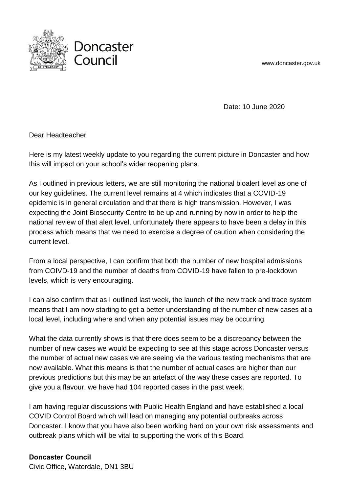www.doncaster.gov.uk



Date: 10 June 2020

Dear Headteacher

Here is my latest weekly update to you regarding the current picture in Doncaster and how this will impact on your school's wider reopening plans.

As I outlined in previous letters, we are still monitoring the national bioalert level as one of our key guidelines. The current level remains at 4 which indicates that a COVID-19 epidemic is in general circulation and that there is high transmission. However, I was expecting the Joint Biosecurity Centre to be up and running by now in order to help the national review of that alert level, unfortunately there appears to have been a delay in this process which means that we need to exercise a degree of caution when considering the current level.

From a local perspective, I can confirm that both the number of new hospital admissions from COIVD-19 and the number of deaths from COVID-19 have fallen to pre-lockdown levels, which is very encouraging.

I can also confirm that as I outlined last week, the launch of the new track and trace system means that I am now starting to get a better understanding of the number of new cases at a local level, including where and when any potential issues may be occurring.

What the data currently shows is that there does seem to be a discrepancy between the number of new cases we would be expecting to see at this stage across Doncaster versus the number of actual new cases we are seeing via the various testing mechanisms that are now available. What this means is that the number of actual cases are higher than our previous predictions but this may be an artefact of the way these cases are reported. To give you a flavour, we have had 104 reported cases in the past week.

I am having regular discussions with Public Health England and have established a local COVID Control Board which will lead on managing any potential outbreaks across Doncaster. I know that you have also been working hard on your own risk assessments and outbreak plans which will be vital to supporting the work of this Board.

**Doncaster Council**

Civic Office, Waterdale, DN1 3BU